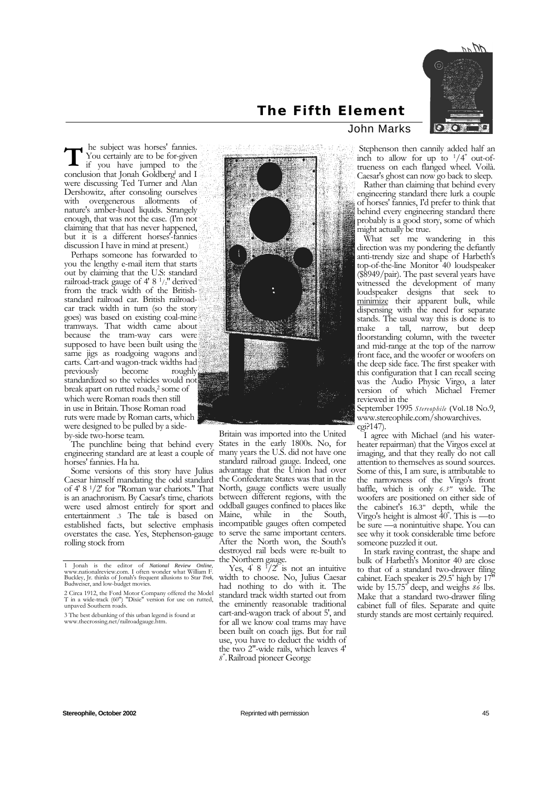

## **The Fifth Element**

 he subject was horses' fannies. You certainly are to be for-given if you have jumped to the **T** are the subject was horses' fannies.<br>
If you certainly are to be for-given<br>
if you have jumped to the<br>
conclusion that Jonah Goldberg' and I were discussing Ted Turner and Alan Dershowitz, after consoling ourselves with overgenerous allotments of nature's amber-hued liquids. Strangely enough, that was not the case. (I'm not claiming that that has never happened, but it is a different horses'-fannies discussion I have in mind at present.)

Perhaps someone has forwarded to you the lengthy e-mail item that starts out by claiming that the U.S: standard railroad-track gauge of 4' 8 1/2" derived from the track width of the Britishstandard railroad car. British railroadcar track width in turn (so the story goes) was based on existing coal-mine tramways. That width came about because the tram-way cars were supposed to have been built using the same jigs as roadgoing wagons and carts. Cart-and wagon-track widths had<br>previously become roughly previously standardized so the vehicles would not break apart on rutted roads,<sup>2</sup> some of which were Roman roads then still in use in Britain. Those Roman road ruts were made by Roman carts, which were designed to be pulled by a sideby-side two-horse team.

The punchline being that behind every engineering standard are at least a couple of horses' fannies. Ha ha.

Some versions of this story have Julius Caesar himself mandating the odd standard of 4' 8 1/2' for "Roman war chariots." That is an anachronism. By Caesar's time, chariots were used almost entirely for sport and entertainment .3 The tale is based on established facts, but selective emphasis overstates the case. Yes, Stephenson-gauge rolling stock from



Britain was imported into the United States in the early 1800s. No, for many years the U.S. did not have one standard railroad gauge. Indeed, one advantage that the Union had over the Confederate States was that in the North, gauge conflicts were usually between different regions, with the oddball gauges confined to places like Maine, while in the South, incompatible gauges often competed to serve the same important centers. After the North won, the South's destroyed rail beds were re-built to the Northern gauge.

Yes, 4'  $8\frac{1}{2}$  /2<sup>o</sup> is not an intuitive width to choose. No, Julius Caesar had nothing to do with it. The standard track width started out from the eminently reasonable traditional cart-and-wagon track of about 5', and for all we know coal trams may have been built on coach jigs. But for rail use, you have to deduct the width of the two 2"-wide rails, which leaves 4' *8*" .Railroad pioneer George

## John Marks

 Stephenson then cannily added half an inch to allow for up to  $1/4$ " out-oftrueness on each flanged wheel. Voilà. Caesar's ghost can now go back to sleep.

Rather than claiming that behind every engineering standard there lurk a couple of horses' fannies, I'd prefer to think that behind every engineering standard there probably is a good story, some of which might actually be true.

What set me wandering in this direction was my pondering the defiantly anti-trendy size and shape of Harbeth's top-of-the-line Monitor<sup>1</sup>40 loudspeaker  $(\$8949/pair)$ . The past several years have witnessed the development of many loudspeaker designs that seek to minimize their apparent bulk, while dispensing with the need for separate stands. The usual way this is done is to make a tall, narrow, but deep floorstanding column, with the tweeter and mid-range at the top of the narrow front face, and the woofer or woofers on the deep side face. The first speaker with this configuration that I can recall seeing was the Audio Physic Virgo, a later version of which Michael Fremer reviewed in the

September 1995 *Stereophile* (Vol.18 No.9, www.stereophile.com/showarchives. cgi?147).

I agree with Michael (and his waterheater repairman) that the Virgos excel at imaging, and that they really do not call attention to themselves as sound sources. Some of this, I am sure, is attributable to the narrowness of the Virgo's front baffle, which is only *6.3"* wide. The woofers are positioned on either side of the cabinet's 16.3" depth, while the Virgo's height is almost 40" . This is —to be sure —a nonintuitive shape. You can see why it took considerable time before someone puzzled it out.

In stark raving contrast, the shape and bulk of Harbeth's Monitor 40 are close to that of a standard two-drawer filing cabinet. Each speaker is 29.5" high by 17" wide by 15.75" deep, and weighs *86* lbs. Make that a standard two-drawer filing cabinet full of files. Separate and quite sturdy stands are most certainly required.

<sup>1</sup> Jonah is the editor of *National Review Online,*  www.nationalreview.com. I often wonder what William F. Buckley, Jr. thinks of Jonah's frequent allusions to Star *Trek,*  Budweiser, and low-budget movies.

<sup>2</sup> Circa 1912, the Ford Motor Company offered the Model T in a wide-track (60") "Dixie" version for use on rutted, unpaved Southern roads.

<sup>3</sup> The best debunking of this urban legend is found at www.thecrossing.net/railroadgauge.htm.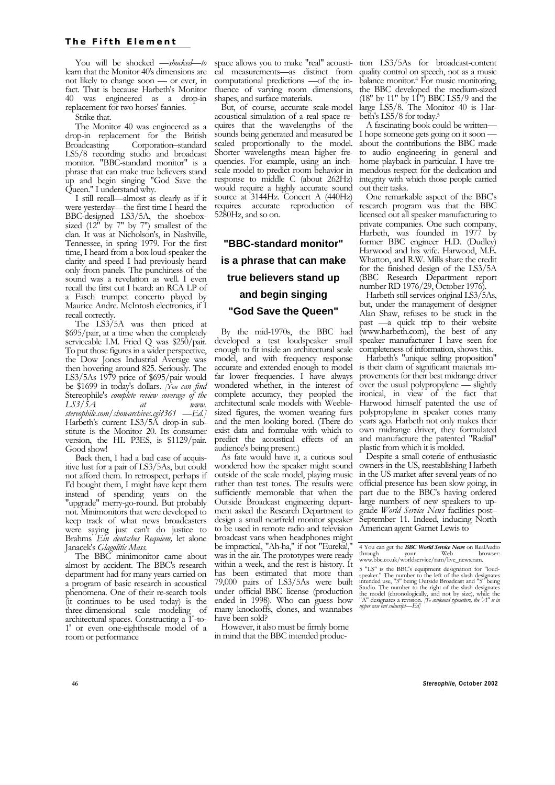You will be shocked *—shocked—to*  learn that the Monitor 40's dimensions are not likely to change soon — or ever, in fact. That is because Harbeth's Monitor 40 was engineered as a drop-in replacement for two horses' fannies.

Strike that.

The Monitor 40 was engineered as a drop-in replacement for the British Broadcasting Corporation–standard LS5/8 recording studio and broadcast monitor. "BBC-standard monitor" is a phrase that can make true believers stand up and begin singing "God Save the Queen." I understand why.

I still recall—almost as clearly as if it were yesterday—the first time I heard the BBC-designed LS3/5A, the shoeboxsized  $(12^{\mathsf{T}}$  by 7" by 7") smallest of the clan. It was at Nicholson's, in Nashville, Tennessee, in spring 1979. For the first time, I heard from a box loud-speaker the clarity and speed I had previously heard only from panels. The punchiness of the sound was a revelation as well. I even recall the first cut I heard: an RCA LP of a Fasch trumpet concerto played by Maurice Andre. McIntosh electronics, if I recall correctly.

The LS3/5A was then priced at \$695/pair, at a time when the completely serviceable I.M. Fried Q was \$250/pair. To put those figures in a wider perspective, the Dow Jones Industrial Average was then hovering around 825. Seriously. The LS3/5As 1979 price of \$695/pair would be \$1699 in today's dollars. *[You can find*  Stereophile's *complete review coverage of the*   $LSS/\tilde{5}A$  at *stereophile.com/showarchives.cgi?361 —Ed.]*  Harbeth's current LS3/5A drop-in substitute is the Monitor 20. Its consumer version, the HL P3ES, is \$1129/pair. Good show!

Back then, I had a bad case of acquisitive lust for a pair of LS3/5As, but could not afford them. In retrospect, perhaps if I'd bought them, I might have kept them instead of spending years on the "upgrade" merry-go-round. But probably not. Minimonitors that were developed to keep track of what news broadcasters were saying just can't do justice to Brahms*' Ein deutsches Requiem,* let alone Janacek's *Glagolitic Mass.* 

The BBC minimonitor came about almost by accident. The BBC's research department had for many years carried on a program of basic research in acoustical phenomena. One of their re-search tools (it continues to be used today) is the three-dimensional scale modeling of architectural spaces. Constructing a 1" -to-1' or even one-eighthscale model of a room or performance

space allows you to make "real" acoustical measurements—as distinct from computational predictions —of the influence of varying room dimensions, shapes, and surface materials.

But, of course, accurate scale-model acoustical simulation of a real space requires that the wavelengths of the sounds being generated and measured be scaled proportionally to the model. Shorter wavelengths mean higher frequencies. For example, using an inchscale model to predict room behavior in response to middle C (about 262Hz) would require a highly accurate sound source at 3144Hz. Concert A (440Hz) requires accurate reproduction of 5280Hz, and so on.

## **"BBC-standard monitor" is a phrase that can make true believers stand up and begin singing "God Save the Queen"**

By the mid-1970s, the BBC had developed a test loudspeaker small enough to fit inside an architectural scale model, and with frequency response accurate and extended enough to model far lower frequencies. I have always wondered whether, in the interest of complete accuracy, they peopled the architectural scale models with Weeblesized figures, the women wearing furs and the men looking bored. (There do exist data and formulae with which to predict the acoustical effects of an audience's being present.)

As fate would have it, a curious soul wondered how the speaker might sound outside of the scale model, playing music rather than test tones. The results were sufficiently memorable that when the Outside Broadcast engineering department asked the Research Department to design a small nearfreld monitor speaker to be used in remote radio and television broadcast vans when headphones might be impractical, "Ah-ha," if not "Eureka!," was in the air. The prototypes were ready within a week, and the rest is history. It has been estimated that more than 79,000 pairs of LS3/5As were built under official BBC license (production ended in 1998). Who can guess how many knockoffs, clones, and wannabes have been sold?

However, it also must be firmly borne in mind that the BBC intended production LS3/5As for broadcast-content quality control on speech, not as a music balance monitor.4 For music monitoring, the BBC developed the medium-sized  $(18"$  by  $11"$  by  $11"$ ) BBC LS5/9 and the large LS5/8. The Monitor 40 is Harbeth's LS5/8 for today.5

A fascinating book could be written— I hope someone gets going on it soon about the contributions the BBC made to audio engineering in general and home playback in particular. I have tremendous respect for the dedication and integrity with which those people carried out their tasks.

One remarkable aspect of the BBC's research program was that the BBC licensed out all speaker manufacturing to private companies. One such company, Harbeth, was founded in 1977 by former BBC engineer H.D. (Dudley) Harwood and his wife. Harwood, M.E. Whatton, and R.W. Mills share the credit for the finished design of the LS3/5A (BBC Research Department report number RD 1976/29, October 1976).

Harbeth still services original LS3/5As, but, under the management of designer Alan Shaw, refuses to be stuck in the past —a quick trip to their website (www.harbeth.com), the best of any speaker manufacturer I have seen for completeness of information, shows this.

Harbeth's "unique selling proposition" is their claim of significant materials improvements for their best midrange driver over the usual polypropylene — slightly ironical, in view of the fact that Harwood himself patented the use of polypropylene in speaker cones many years ago. Harbeth not only makes their own midrange driver, they formulated and manufacture the patented "Radial" plastic from which it is molded.

Despite a small coterie of enthusiastic owners in the US, reestablishing Harbeth in the US market after several years of no official presence has been slow going, in part due to the BBC's having ordered large numbers of new speakers to upgrade *World Service News* facilities post– September 11. Indeed, inducing North American agent Garnet Lewis to

<sup>4</sup> You can get the *BBC World Service News* on RealAudio through your Web browsers of the wave brown browser with the process of the state of the browser of the process of the process of the process of the process of the process of the process of the process of the process of th www.bbc.co.uk/worldservice/ram/live\_news.ram.

<sup>5 &</sup>quot;LS" is the BBC's equipment designation for "loud-speaker." The number to the left of the slash designates intended use, "3" being Outside Broadcast and "5" being Studio. The number to the right of the slash designates